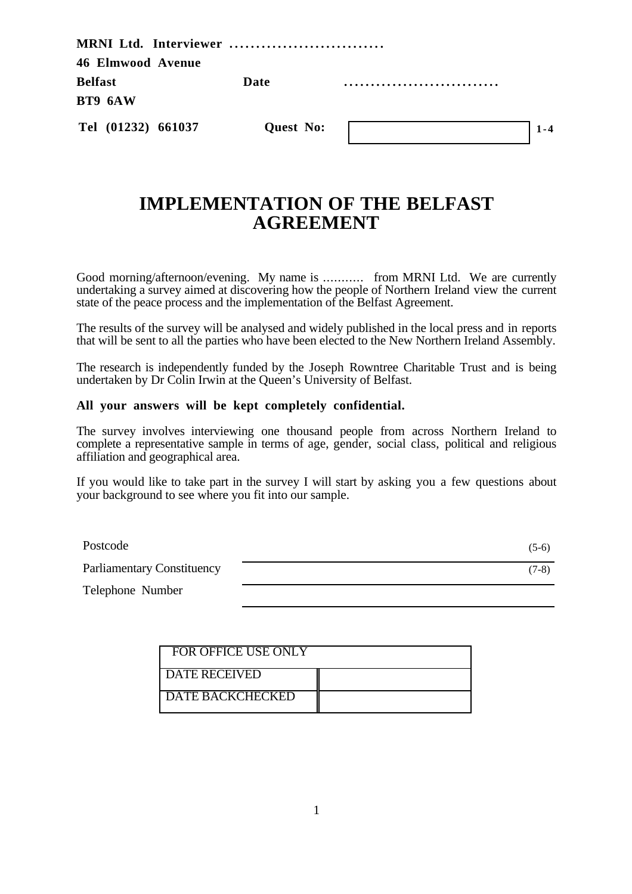| MRNI Ltd. Interviewer    |           |  |
|--------------------------|-----------|--|
| <b>46 Elmwood Avenue</b> |           |  |
| <b>Belfast</b>           | Date      |  |
| BT9 6AW                  |           |  |
| Tel (01232) 661037       | Quest No: |  |

# **IMPLEMENTATION OF THE BELFAST AGREEMENT**

Good morning/afternoon/evening. My name is ........... from MRNI Ltd. We are currently undertaking a survey aimed at discovering how the people of Northern Ireland view the current state of the peace process and the implementation of the Belfast Agreement.

The results of the survey will be analysed and widely published in the local press and in reports that will be sent to all the parties who have been elected to the New Northern Ireland Assembly.

The research is independently funded by the Joseph Rowntree Charitable Trust and is being undertaken by Dr Colin Irwin at the Queen's University of Belfast.

#### **All your answers will be kept completely confidential.**

The survey involves interviewing one thousand people from across Northern Ireland to complete a representative sample in terms of age, gender, social class, political and religious affiliation and geographical area.

If you would like to take part in the survey I will start by asking you a few questions about your background to see where you fit into our sample.

| Postcode                          | $(5-6)$ |
|-----------------------------------|---------|
| <b>Parliamentary Constituency</b> | $(7-8)$ |
| Telephone Number                  |         |

| <b>FOR OFFICE USE ONLY</b> |  |
|----------------------------|--|
| <b>DATE RECEIVED</b>       |  |
| <b>DATE BACKCHECKED</b>    |  |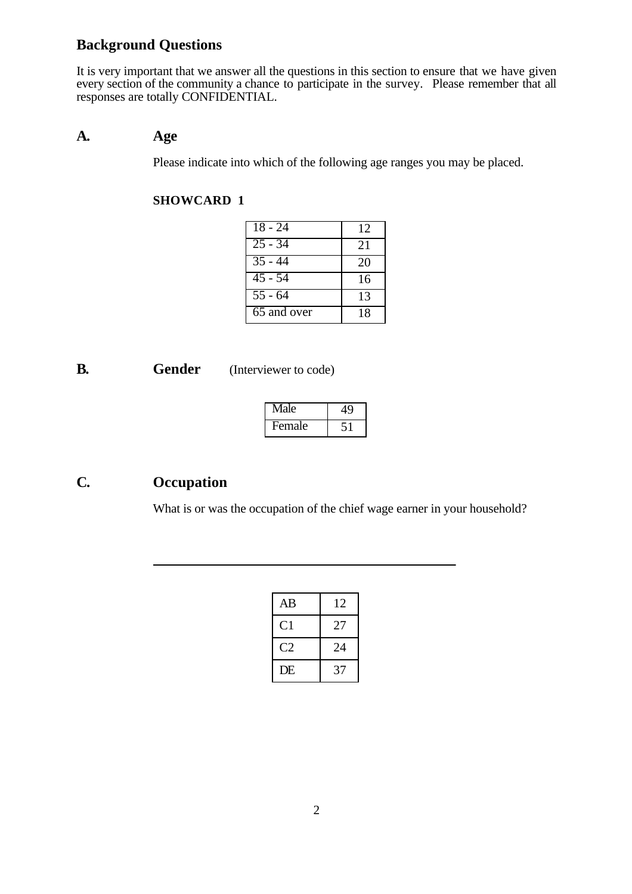## **Background Questions**

It is very important that we answer all the questions in this section to ensure that we have given every section of the community a chance to participate in the survey. Please remember that all responses are totally CONFIDENTIAL.

### **A. Age**

Please indicate into which of the following age ranges you may be placed.

### **SHOWCARD 1**

| $\sqrt{18 - 24}$     | 12 |
|----------------------|----|
| $25 - 34$            | 21 |
| $\overline{35}$ - 44 | 20 |
| $45 - 54$            | 16 |
| $\overline{55}$ - 64 | 13 |
| 65 and over          | 18 |

**B. Gender** (Interviewer to code)

 $\overline{a}$ 

| Male   |  |  |
|--------|--|--|
| Female |  |  |

## **C. Occupation**

What is or was the occupation of the chief wage earner in your household?

| AB             | 12 |
|----------------|----|
| C <sub>1</sub> | 27 |
| C2             | 24 |
| DE             | 37 |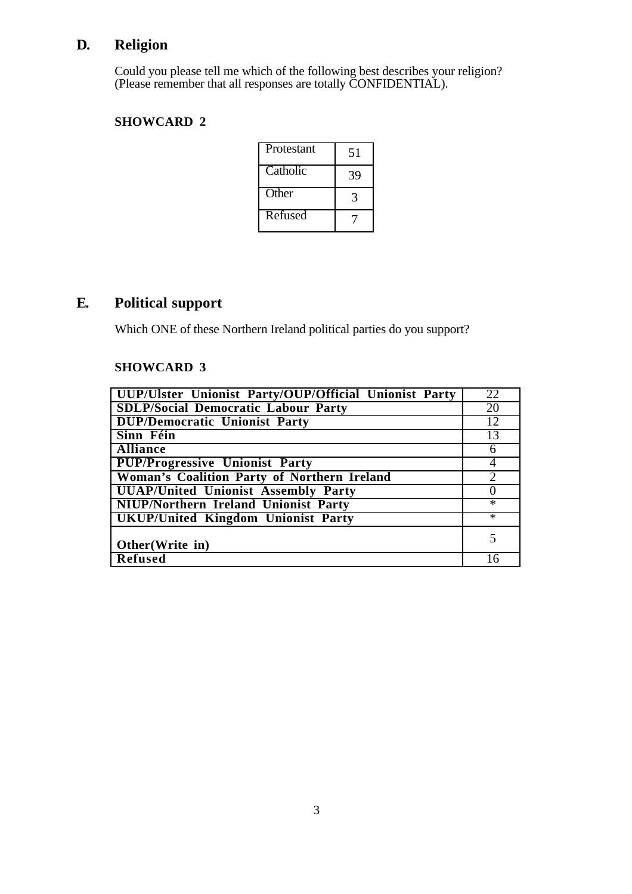# **D. Religion**

Could you please tell me which of the following best describes your religion? (Please remember that all responses are totally CONFIDENTIAL).

### **SHOWCARD 2**

| <b>Protestant</b> | 51 |
|-------------------|----|
| Catholic          | 39 |
| Other             |    |
| Refused           |    |

## **E. Political support**

Which ONE of these Northern Ireland political parties do you support?

#### **SHOWCARD 3**

| UUP/Ulster Unionist Party/OUP/Official Unionist Party | 22     |
|-------------------------------------------------------|--------|
| <b>SDLP/Social Democratic Labour Party</b>            | 20     |
| <b>DUP/Democratic Unionist Party</b>                  | 12     |
| Sinn Féin                                             | 13     |
| <b>Alliance</b>                                       | 6      |
| <b>PUP/Progressive Unionist Party</b>                 | 4      |
| Woman's Coalition Party of Northern Ireland           |        |
| <b>UUAP/United Unionist Assembly Party</b>            |        |
| <b>NIUP/Northern Ireland Unionist Party</b>           | $\ast$ |
| <b>UKUP/United Kingdom Unionist Party</b>             | $\ast$ |
| Other(Write in)                                       |        |
| <b>Refused</b>                                        | l 6    |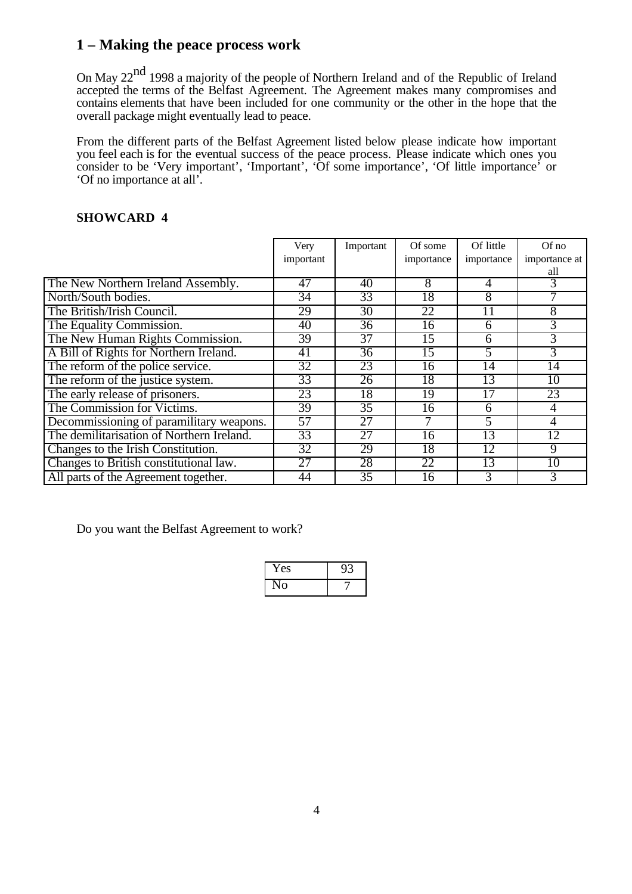## **1 – Making the peace process work**

On May 22<sup>nd</sup> 1998 a majority of the people of Northern Ireland and of the Republic of Ireland accepted the terms of the Belfast Agreement. The Agreement makes many compromises and contains elements that have been included for one community or the other in the hope that the overall package might eventually lead to peace.

From the different parts of the Belfast Agreement listed below please indicate how important you feel each is for the eventual success of the peace process. Please indicate which ones you consider to be 'Very important', 'Important', 'Of some importance', 'Of little importance' or 'Of no importance at all'.

#### **SHOWCARD 4**

|                                           | Very            | Important       | Of some    | Of little  | $Of$ no        |
|-------------------------------------------|-----------------|-----------------|------------|------------|----------------|
|                                           | important       |                 | importance | importance | importance at  |
|                                           |                 |                 |            |            | all            |
| The New Northern Ireland Assembly.        | 47              | 40              | 8          | 4          | 3              |
| North/South bodies.                       | 34              | 33              | 18         | 8          |                |
| The British/Irish Council.                | 29              | 30              | 22         | 11         | $\overline{8}$ |
| The Equality Commission.                  | 40              | 36              | 16         | 6          | 3              |
| The New Human Rights Commission.          | 39              | $\overline{37}$ | 15         | 6          | $\overline{3}$ |
| A Bill of Rights for Northern Ireland.    | 41              | 36              | 15         | 5          | $\overline{3}$ |
| The reform of the police service.         | 32              | 23              | 16         | 14         | 14             |
| The reform of the justice system.         | 33              | 26              | 18         | 13         | 10             |
| The early release of prisoners.           | 23              | 18              | 19         |            | 23             |
| The Commission for Victims.               | 39              | $\overline{35}$ | 16         | 6          | 4              |
| Decommissioning of paramilitary weapons.  | 57              | 27              |            | 5          | $\overline{4}$ |
| The demilitarisation of Northern Ireland. | 33              | 27              | 16         | 13         | 12             |
| Changes to the Irish Constitution.        | 32              | 29              | 18         | 12         | 9              |
| Changes to British constitutional law.    | $\overline{27}$ | 28              | 22         | 13         | 10             |
| All parts of the Agreement together.      | 44              | 35              | 16         | 3          | 3              |

Do you want the Belfast Agreement to work?

| í es |  |
|------|--|
| Э    |  |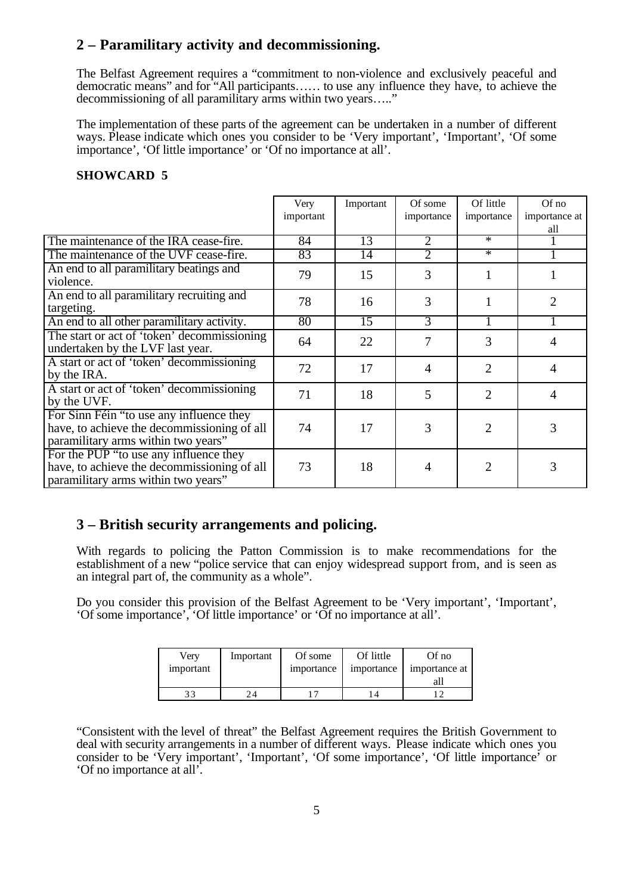## **2 – Paramilitary activity and decommissioning.**

The Belfast Agreement requires a "commitment to non-violence and exclusively peaceful and democratic means" and for "All participants…… to use any influence they have, to achieve the decommissioning of all paramilitary arms within two years....."

The implementation of these parts of the agreement can be undertaken in a number of different ways. Please indicate which ones you consider to be 'Very important', 'Important', 'Of some importance', 'Of little importance' or 'Of no importance at all'.

#### **SHOWCARD 5**

|                                                                                                                                | Very      | Important | Of some        | Of little      | $Of$ no        |
|--------------------------------------------------------------------------------------------------------------------------------|-----------|-----------|----------------|----------------|----------------|
|                                                                                                                                | important |           | importance     | importance     | importance at  |
|                                                                                                                                |           |           |                |                | all            |
| The maintenance of the IRA cease-fire.                                                                                         | 84        | 13        | 2              | $\ast$         |                |
| The maintenance of the UVF cease-fire.                                                                                         | 83        | 14        | 2              | $\ast$         |                |
| An end to all paramilitary beatings and<br>violence.                                                                           | 79        | 15        | 3              |                |                |
| An end to all paramilitary recruiting and<br>targeting.                                                                        | 78        | 16        | 3              |                | 2              |
| An end to all other paramilitary activity.                                                                                     | 80        | 15        | $\overline{3}$ |                |                |
| The start or act of 'token' decommissioning<br>undertaken by the LVF last year.                                                | 64        | 22        | 7              | 3              | 4              |
| A start or act of 'token' decommissioning<br>by the IRA.                                                                       | 72        | 17        | $\overline{4}$ | 2              | $\overline{4}$ |
| A start or act of 'token' decommissioning<br>by the UVF.                                                                       | 71        | 18        | 5              | $\overline{2}$ | 4              |
| For Sinn Féin "to use any influence they<br>have, to achieve the decommissioning of all<br>paramilitary arms within two years" | 74        | 17        | 3              | 2              | 3              |
| For the PUP "to use any influence they<br>have, to achieve the decommissioning of all<br>paramilitary arms within two years"   | 73        | 18        | 4              |                | 3              |

## **3 – British security arrangements and policing.**

With regards to policing the Patton Commission is to make recommendations for the establishment of a new "police service that can enjoy widespread support from, and is seen as an integral part of, the community as a whole".

Do you consider this provision of the Belfast Agreement to be 'Very important', 'Important', 'Of some importance', 'Of little importance' or 'Of no importance at all'.

| Verv      | Important | Of some    | Of little  | Of no         |
|-----------|-----------|------------|------------|---------------|
| important |           | importance | importance | importance at |
|           |           |            |            |               |
|           |           |            |            |               |

"Consistent with the level of threat" the Belfast Agreement requires the British Government to deal with security arrangements in a number of different ways. Please indicate which ones you consider to be 'Very important', 'Important', 'Of some importance', 'Of little importance' or 'Of no importance at all'.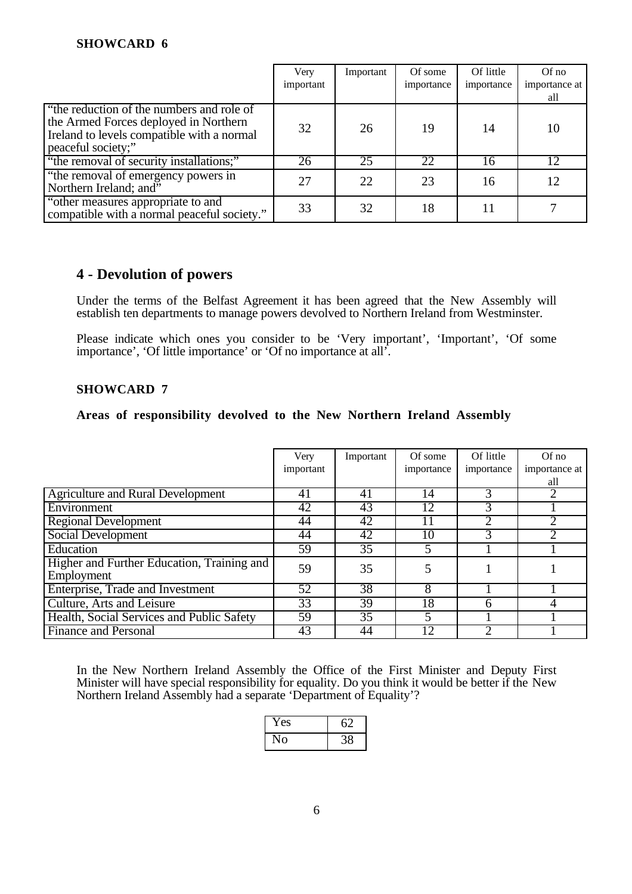#### **SHOWCARD 6**

|                                                                                                                                                        | Very      | Important | Of some    | Of little  | Of no         |
|--------------------------------------------------------------------------------------------------------------------------------------------------------|-----------|-----------|------------|------------|---------------|
|                                                                                                                                                        | important |           | importance | importance | importance at |
|                                                                                                                                                        |           |           |            |            | all           |
| "the reduction of the numbers and role of<br>the Armed Forces deployed in Northern<br>Ireland to levels compatible with a normal<br>peaceful society;" | 32        | 26        | 19         | 14         | 10            |
| "the removal of security installations;"                                                                                                               | 26        | 25        | 22         | 16         | 12            |
| "the removal of emergency powers in<br>Northern Ireland; and"                                                                                          | 27        | 22        | 23         | 16         | 12            |
| "other measures appropriate to and<br>compatible with a normal peaceful society."                                                                      | 33        | 32        | 18         |            |               |

### **4 - Devolution of powers**

Under the terms of the Belfast Agreement it has been agreed that the New Assembly will establish ten departments to manage powers devolved to Northern Ireland from Westminster.

Please indicate which ones you consider to be 'Very important', 'Important', 'Of some importance', 'Of little importance' or 'Of no importance at all'.

#### **SHOWCARD 7**

#### **Areas of responsibility devolved to the New Northern Ireland Assembly**

|                                                          | Very<br>important | Important | Of some<br>importance | Of little<br>importance | $Of$ no<br>importance at |
|----------------------------------------------------------|-------------------|-----------|-----------------------|-------------------------|--------------------------|
|                                                          |                   |           |                       |                         | all                      |
| <b>Agriculture and Rural Development</b>                 | 41                | 41        | 14                    | 3                       |                          |
| Environment                                              | 42                | 43        | 12                    |                         |                          |
| <b>Regional Development</b>                              | 44                | 42        |                       |                         |                          |
| Social Development                                       | 44                | 42        | 10                    |                         |                          |
| Education                                                | 59                | 35        |                       |                         |                          |
| Higher and Further Education, Training and<br>Employment | 59                | 35        |                       |                         |                          |
| Enterprise, Trade and Investment                         | 52                | 38        | 8                     |                         |                          |
| Culture, Arts and Leisure                                | 33                | 39        | 18                    |                         |                          |
| Health, Social Services and Public Safety                | 59                | 35        |                       |                         |                          |
| <b>Finance and Personal</b>                              | 43                | 44        | 12                    |                         |                          |

In the New Northern Ireland Assembly the Office of the First Minister and Deputy First Minister will have special responsibility for equality. Do you think it would be better if the New Northern Ireland Assembly had a separate 'Department of Equality'?

| 'es            |  |
|----------------|--|
| $\overline{0}$ |  |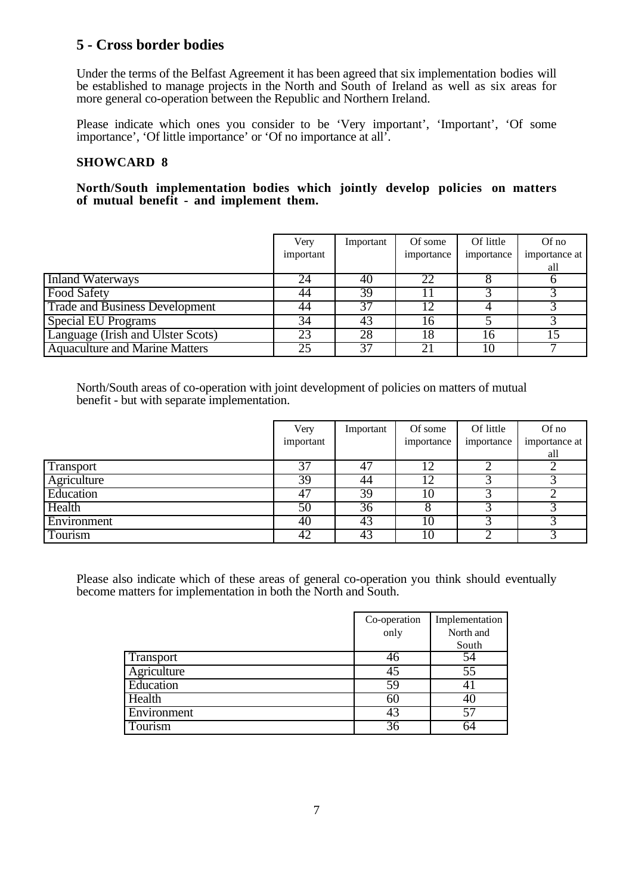## **5 - Cross border bodies**

Under the terms of the Belfast Agreement it has been agreed that six implementation bodies will be established to manage projects in the North and South of Ireland as well as six areas for more general co-operation between the Republic and Northern Ireland.

Please indicate which ones you consider to be 'Very important', 'Important', 'Of some importance', 'Of little importance' or 'Of no importance at all'.

#### **SHOWCARD 8**

#### **North/South implementation bodies which jointly develop policies on matters of mutual benefit - and implement them.**

|                                       | Very      | Important | Of some    | Of little  | Of no         |
|---------------------------------------|-----------|-----------|------------|------------|---------------|
|                                       | important |           | importance | importance | importance at |
|                                       |           |           |            |            | all           |
| Inland Waterways                      | 24        | 40        | 22         |            |               |
| <b>Food Safety</b>                    | 44        | 39        |            |            |               |
| <b>Trade and Business Development</b> | 44        | 37        |            |            |               |
| <b>Special EU Programs</b>            | 34        | 43        | 16         |            |               |
| Language (Irish and Ulster Scots)     | 23        | 28        | 18         | ۱6         |               |
| <b>Aquaculture and Marine Matters</b> | 25        | 37        |            |            |               |

North/South areas of co-operation with joint development of policies on matters of mutual benefit - but with separate implementation.

|             | Very            | Important | Of some    | Of little  | Of no         |
|-------------|-----------------|-----------|------------|------------|---------------|
|             | important       |           | importance | importance | importance at |
|             |                 |           |            |            | all           |
| Transport   | $\overline{37}$ | 47        |            |            |               |
| Agriculture | 39              | 44        | 12         |            |               |
| Education   | 47              | 39        | 10         |            |               |
| Health      | 50              | 36        |            |            |               |
| Environment | 40              | 43        | 10         |            |               |
| Tourism     | 42              | 43        | 10         |            |               |

Please also indicate which of these areas of general co-operation you think should eventually become matters for implementation in both the North and South.

|             | Co-operation | Implementation |
|-------------|--------------|----------------|
|             | only         | North and      |
|             |              | South          |
| Transport   | 46           | 54             |
| Agriculture | 45           | 55             |
| Education   | 59           |                |
| Health      | 60           |                |
| Environment | 43           |                |
| Tourism     | 36           |                |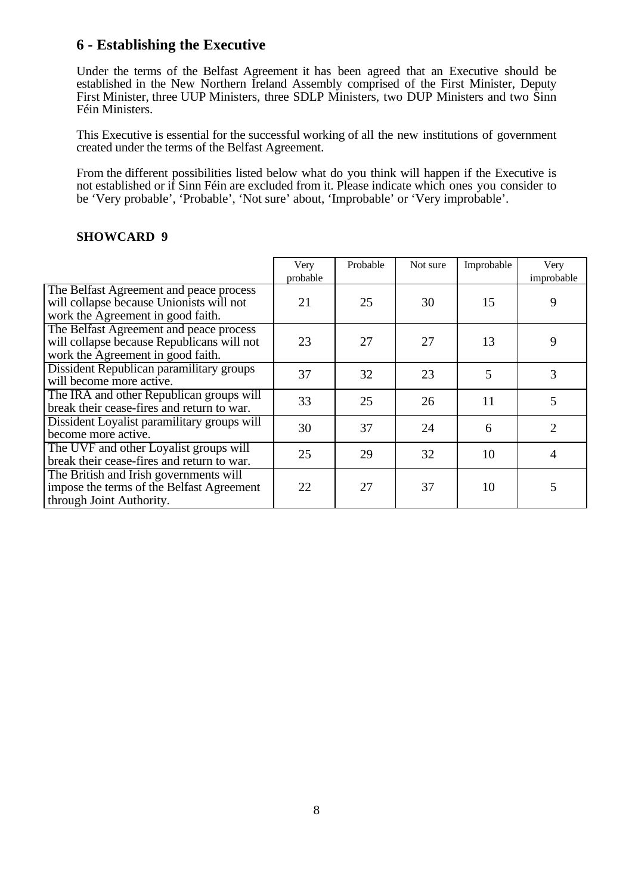## **6 - Establishing the Executive**

Under the terms of the Belfast Agreement it has been agreed that an Executive should be established in the New Northern Ireland Assembly comprised of the First Minister, Deputy First Minister, three UUP Ministers, three SDLP Ministers, two DUP Ministers and two Sinn Féin Ministers.

This Executive is essential for the successful working of all the new institutions of government created under the terms of the Belfast Agreement.

From the different possibilities listed below what do you think will happen if the Executive is not established or if Sinn Féin are excluded from it. Please indicate which ones you consider to be 'Very probable', 'Probable', 'Not sure' about, 'Improbable' or 'Very improbable'.

|                                                                                                                            | Very<br>probable | Probable | Not sure | Improbable | Very<br>improbable    |
|----------------------------------------------------------------------------------------------------------------------------|------------------|----------|----------|------------|-----------------------|
| The Belfast Agreement and peace process<br>will collapse because Unionists will not<br>work the Agreement in good faith.   | 21               | 25       | 30       | 15         | 9                     |
| The Belfast Agreement and peace process<br>will collapse because Republicans will not<br>work the Agreement in good faith. | 23               | 27       | 27       | 13         | 9                     |
| Dissident Republican paramilitary groups<br>will become more active.                                                       | 37               | 32       | 23       | 5          | 3                     |
| The IRA and other Republican groups will<br>break their cease-fires and return to war.                                     | 33               | 25       | 26       | 11         | 5                     |
| Dissident Loyalist paramilitary groups will<br>become more active.                                                         | 30               | 37       | 24       | 6          | $\mathcal{D}_{\cdot}$ |
| The UVF and other Loyalist groups will<br>break their cease-fires and return to war.                                       | 25               | 29       | 32       | 10         | $\overline{4}$        |
| The British and Irish governments will<br>impose the terms of the Belfast Agreement<br>through Joint Authority.            | 22               | 27       | 37       | 10         | 5                     |

#### **SHOWCARD 9**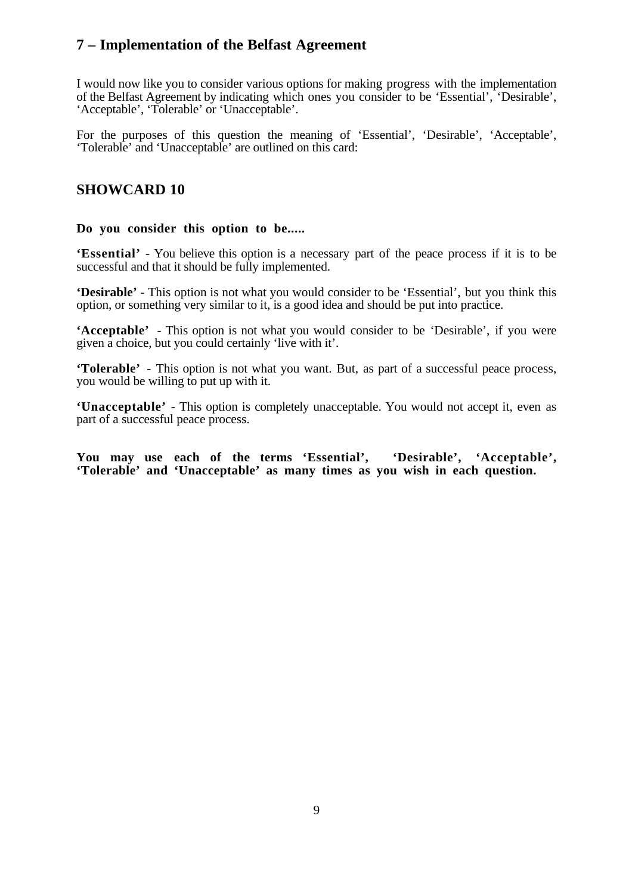## **7 – Implementation of the Belfast Agreement**

I would now like you to consider various options for making progress with the implementation of the Belfast Agreement by indicating which ones you consider to be 'Essential', 'Desirable', 'Acceptable', 'Tolerable' or 'Unacceptable'.

For the purposes of this question the meaning of 'Essential', 'Desirable', 'Acceptable', 'Tolerable' and 'Unacceptable' are outlined on this card:

## **SHOWCARD 10**

#### **Do you consider this option to be.....**

**'Essential'** - You believe this option is a necessary part of the peace process if it is to be successful and that it should be fully implemented.

**'Desirable'** - This option is not what you would consider to be 'Essential', but you think this option, or something very similar to it, is a good idea and should be put into practice.

**'Acceptable'** - This option is not what you would consider to be 'Desirable', if you were given a choice, but you could certainly 'live with it'.

**'Tolerable'** - This option is not what you want. But, as part of a successful peace process, you would be willing to put up with it.

**'Unacceptable'** - This option is completely unacceptable. You would not accept it, even as part of a successful peace process.

**You may use each of the terms 'Essential', 'Desirable', 'Acceptable', 'Tolerable' and 'Unacceptable' as many times as you wish in each question.**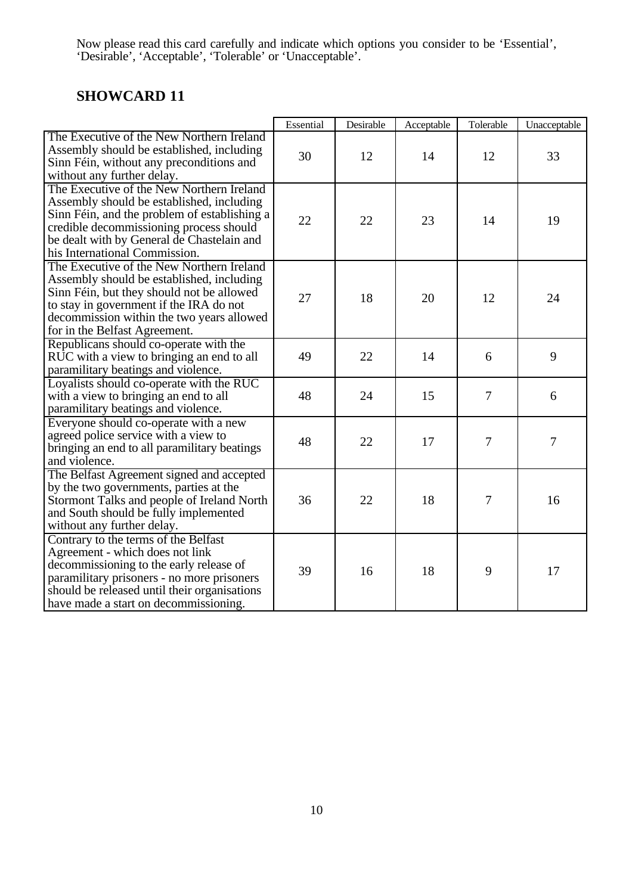Now please read this card carefully and indicate which options you consider to be 'Essential', 'Desirable', 'Acceptable', 'Tolerable' or 'Unacceptable'.

# **SHOWCARD 11**

|                                                                                                                                                                                                                                                                  | Essential | Desirable | Acceptable | Tolerable | Unacceptable |
|------------------------------------------------------------------------------------------------------------------------------------------------------------------------------------------------------------------------------------------------------------------|-----------|-----------|------------|-----------|--------------|
| The Executive of the New Northern Ireland<br>Assembly should be established, including<br>Sinn Féin, without any preconditions and<br>without any further delay.                                                                                                 | 30        | 12        | 14         | 12        | 33           |
| The Executive of the New Northern Ireland<br>Assembly should be established, including<br>Sinn Féin, and the problem of establishing a<br>credible decommissioning process should<br>be dealt with by General de Chastelain and<br>his International Commission. | 22        | 22        | 23         | 14        | 19           |
| The Executive of the New Northern Ireland<br>Assembly should be established, including<br>Sinn Féin, but they should not be allowed<br>to stay in government if the IRA do not<br>decommission within the two years allowed<br>for in the Belfast Agreement.     | 27        | 18        | 20         | 12        | 24           |
| Republicans should co-operate with the<br>RUC with a view to bringing an end to all<br>paramilitary beatings and violence.                                                                                                                                       | 49        | 22        | 14         | 6         | 9            |
| Loyalists should co-operate with the RUC<br>with a view to bringing an end to all<br>paramilitary beatings and violence.                                                                                                                                         | 48        | 24        | 15         | 7         | 6            |
| Everyone should co-operate with a new<br>agreed police service with a view to<br>bringing an end to all paramilitary beatings<br>and violence.                                                                                                                   | 48        | 22        | 17         | 7         | 7            |
| The Belfast Agreement signed and accepted<br>by the two governments, parties at the<br>Stormont Talks and people of Ireland North<br>and South should be fully implemented<br>without any further delay.                                                         | 36        | 22        | 18         | 7         | 16           |
| Contrary to the terms of the Belfast<br>Agreement - which does not link<br>decommissioning to the early release of<br>paramilitary prisoners - no more prisoners<br>should be released until their organisations<br>have made a start on decommissioning.        | 39        | 16        | 18         | 9         | 17           |